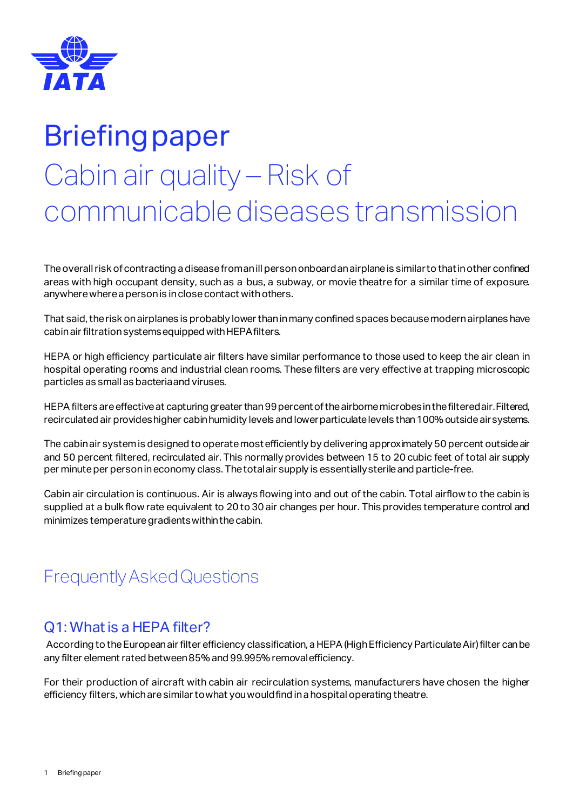

# Briefing paper Cabin air quality – Risk of communicable diseases transmission

The overall risk of contracting a disease from an ill person onboard an airplane is similar to that in other confined areas with high occupant density, such as a bus, a subway, or movie theatre for a similar time of exposure. anywhere where a person is in close contact with others.

That said, the risk on airplanes is probably lower than in many confined spaces because modern airplanes have cabin air filtration systems equipped with HEPA filters.

HEPA or high efficiency particulate air filters have similar performance to those used to keep the air clean in hospital operating rooms and industrial clean rooms. These filters are very effective at trapping microscopic particles as small as bacteria and viruses.

HEPA filters are effective at capturing greater than 99 percent of the airborne microbes in the filtered air. Filtered, recirculated air provides higher cabin humidity levels and lower particulate levels than 100% outside air systems.

The cabin air system is designed to operate most efficiently by delivering approximately 50 percent outside air and 50 percent filtered, recirculated air. This normally provides between 15 to 20 cubic feet of total air supply per minute per person in economy class. The total air supply is essentially sterile and particle-free.

Cabin air circulation is continuous. Air is always flowing into and out of the cabin. Total airflow to the cabin is supplied at a bulk flow rate equivalent to 20 to 30 air changes per hour. This provides temperature control and minimizes temperature gradients within the cabin.

## Frequently Asked Questions

#### Q1: What is a HEPA filter?

According to the European air filter efficiency classification, a HEPA (High Efficiency Particulate Air) filter can be any filter element rated between 85% and 99.995% removal efficiency.

For their production of aircraft with cabin air recirculation systems, manufacturers have chosen the higher efficiency filters, which aresimilar to what you would find in a hospital operating theatre.